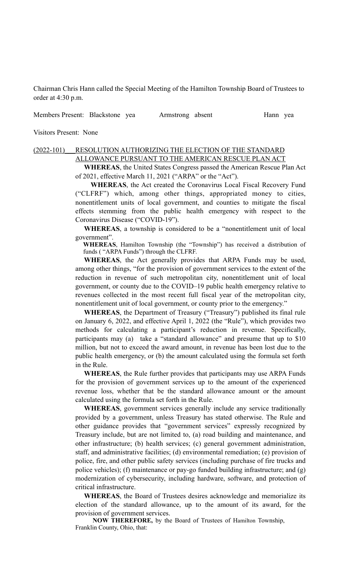Chairman Chris Hann called the Special Meeting of the Hamilton Township Board of Trustees to order at 4:30 p.m.

Members Present: Blackstone yea Armstrong absent Hann yea

Visitors Present: None

### (2022-101) RESOLUTION AUTHORIZING THE ELECTION OF THE STANDARD ALLOWANCE PURSUANT TO THE AMERICAN RESCUE PLAN ACT

 **WHEREAS**, the United States Congress passed the American Rescue Plan Act of 2021, effective March 11, 2021 ("ARPA" or the "Act").

 **WHEREAS**, the Act created the Coronavirus Local Fiscal Recovery Fund ("CLFRF") which, among other things, appropriated money to cities, nonentitlement units of local government, and counties to mitigate the fiscal effects stemming from the public health emergency with respect to the Coronavirus Disease ("COVID-19").

**WHEREAS**, a township is considered to be a "nonentitlement unit of local government".

**WHEREAS**, Hamilton Township (the "Township") has received a distribution of funds ( "ARPA Funds") through the CLFRF.

**WHEREAS**, the Act generally provides that ARPA Funds may be used, among other things, "for the provision of government services to the extent of the reduction in revenue of such metropolitan city, nonentitlement unit of local government, or county due to the COVID–19 public health emergency relative to revenues collected in the most recent full fiscal year of the metropolitan city, nonentitlement unit of local government, or county prior to the emergency."

**WHEREAS**, the Department of Treasury ("Treasury") published its final rule on January 6, 2022, and effective April 1, 2022 (the "Rule"), which provides two methods for calculating a participant's reduction in revenue. Specifically, participants may (a) take a "standard allowance" and presume that up to \$10 million, but not to exceed the award amount, in revenue has been lost due to the public health emergency, or (b) the amount calculated using the formula set forth in the Rule.

**WHEREAS**, the Rule further provides that participants may use ARPA Funds for the provision of government services up to the amount of the experienced revenue loss, whether that be the standard allowance amount or the amount calculated using the formula set forth in the Rule.

**WHEREAS**, government services generally include any service traditionally provided by a government, unless Treasury has stated otherwise. The Rule and other guidance provides that "government services" expressly recognized by Treasury include, but are not limited to, (a) road building and maintenance, and other infrastructure; (b) health services; (c) general government administration, staff, and administrative facilities; (d) environmental remediation; (e) provision of police, fire, and other public safety services (including purchase of fire trucks and police vehicles); (f) maintenance or pay-go funded building infrastructure; and (g) modernization of cybersecurity, including hardware, software, and protection of critical infrastructure.

**WHEREAS**, the Board of Trustees desires acknowledge and memorialize its election of the standard allowance, up to the amount of its award, for the provision of government services.

 **NOW THEREFORE,** by the Board of Trustees of Hamilton Township, Franklin County, Ohio, that: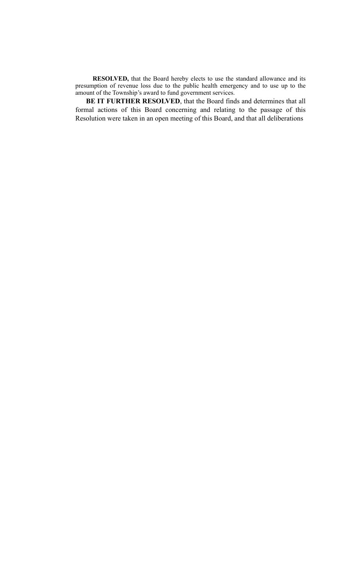**RESOLVED,** that the Board hereby elects to use the standard allowance and its presumption of revenue loss due to the public health emergency and to use up to the amount of the Township's award to fund government services.

 **BE IT FURTHER RESOLVED**, that the Board finds and determines that all formal actions of this Board concerning and relating to the passage of this Resolution were taken in an open meeting of this Board, and that all deliberations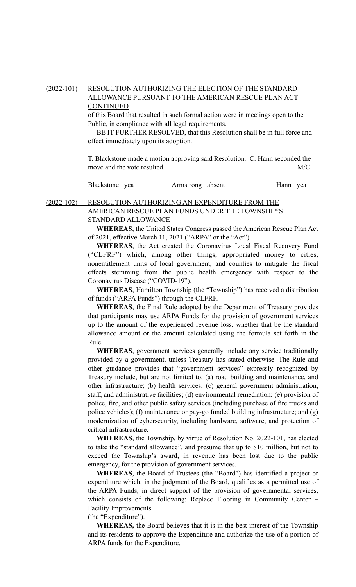### (2022-101) RESOLUTION AUTHORIZING THE ELECTION OF THE STANDARD ALLOWANCE PURSUANT TO THE AMERICAN RESCUE PLAN ACT CONTINUED

of this Board that resulted in such formal action were in meetings open to the Public, in compliance with all legal requirements.

 BE IT FURTHER RESOLVED, that this Resolution shall be in full force and effect immediately upon its adoption.

T. Blackstone made a motion approving said Resolution. C. Hann seconded the move and the vote resulted. M/C

Blackstone yea Armstrong absent Hann yea

## (2022-102) RESOLUTION AUTHORIZING AN EXPENDITURE FROM THE AMERICAN RESCUE PLAN FUNDS UNDER THE TOWNSHIP'S STANDARD ALLOWANCE

 **WHEREAS**, the United States Congress passed the American Rescue Plan Act of 2021, effective March 11, 2021 ("ARPA" or the "Act").

**WHEREAS**, the Act created the Coronavirus Local Fiscal Recovery Fund ("CLFRF") which, among other things, appropriated money to cities, nonentitlement units of local government, and counties to mitigate the fiscal effects stemming from the public health emergency with respect to the Coronavirus Disease ("COVID-19").

**WHEREAS**, Hamilton Township (the "Township") has received a distribution of funds ("ARPA Funds") through the CLFRF.

**WHEREAS**, the Final Rule adopted by the Department of Treasury provides that participants may use ARPA Funds for the provision of government services up to the amount of the experienced revenue loss, whether that be the standard allowance amount or the amount calculated using the formula set forth in the Rule.

**WHEREAS**, government services generally include any service traditionally provided by a government, unless Treasury has stated otherwise. The Rule and other guidance provides that "government services" expressly recognized by Treasury include, but are not limited to, (a) road building and maintenance, and other infrastructure; (b) health services; (c) general government administration, staff, and administrative facilities; (d) environmental remediation; (e) provision of police, fire, and other public safety services (including purchase of fire trucks and police vehicles); (f) maintenance or pay-go funded building infrastructure; and (g) modernization of cybersecurity, including hardware, software, and protection of critical infrastructure.

**WHEREAS**, the Township, by virtue of Resolution No. 2022-101, has elected to take the "standard allowance", and presume that up to \$10 million, but not to exceed the Township's award, in revenue has been lost due to the public emergency, for the provision of government services.

**WHEREAS**, the Board of Trustees (the "Board") has identified a project or expenditure which, in the judgment of the Board, qualifies as a permitted use of the ARPA Funds, in direct support of the provision of governmental services, which consists of the following: Replace Flooring in Community Center – Facility Improvements.

(the "Expenditure").

**WHEREAS,** the Board believes that it is in the best interest of the Township and its residents to approve the Expenditure and authorize the use of a portion of ARPA funds for the Expenditure.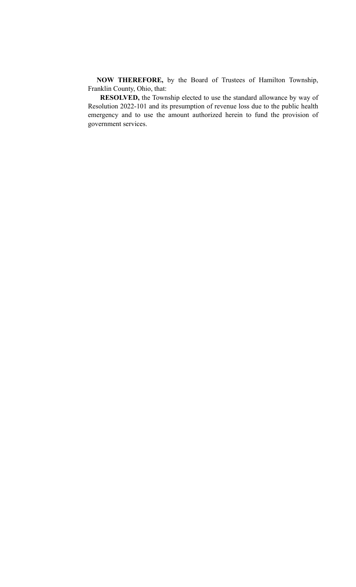**NOW THEREFORE,** by the Board of Trustees of Hamilton Township, Franklin County, Ohio, that:

 **RESOLVED,** the Township elected to use the standard allowance by way of Resolution 2022-101 and its presumption of revenue loss due to the public health emergency and to use the amount authorized herein to fund the provision of government services.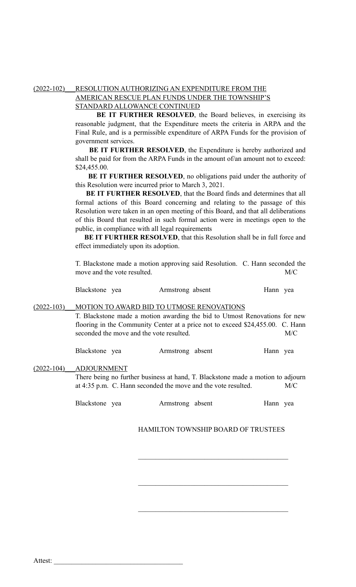# (2022-102) RESOLUTION AUTHORIZING AN EXPENDITURE FROM THE AMERICAN RESCUE PLAN FUNDS UNDER THE TOWNSHIP'S STANDARD ALLOWANCE CONTINUED

 **BE IT FURTHER RESOLVED**, the Board believes, in exercising its reasonable judgment, that the Expenditure meets the criteria in ARPA and the Final Rule, and is a permissible expenditure of ARPA Funds for the provision of government services.

 **BE IT FURTHER RESOLVED**, the Expenditure is hereby authorized and shall be paid for from the ARPA Funds in the amount of/an amount not to exceed: \$24,455.00.

**BE IT FURTHER RESOLVED**, no obligations paid under the authority of this Resolution were incurred prior to March 3, 2021.

 **BE IT FURTHER RESOLVED**, that the Board finds and determines that all formal actions of this Board concerning and relating to the passage of this Resolution were taken in an open meeting of this Board, and that all deliberations of this Board that resulted in such formal action were in meetings open to the public, in compliance with all legal requirements

 **BE IT FURTHER RESOLVED**, that this Resolution shall be in full force and effect immediately upon its adoption.

T. Blackstone made a motion approving said Resolution. C. Hann seconded the move and the vote resulted. M/C

| Blackstone yea |  | Armstrong absent | Hann yea |  |
|----------------|--|------------------|----------|--|
|----------------|--|------------------|----------|--|

### (2022-103)\_\_\_MOTION TO AWARD BID TO UTMOSE RENOVATIONS

T. Blackstone made a motion awarding the bid to Utmost Renovations for new flooring in the Community Center at a price not to exceed \$24,455.00. C. Hann seconded the move and the vote resulted. M/C

Blackstone yea Armstrong absent Hann yea

### (2022-104)\_\_\_ADJOURNMENT

There being no further business at hand, T. Blackstone made a motion to adjourn at 4:35 p.m. C. Hann seconded the move and the vote resulted. M/C

Blackstone yea Armstrong absent Hann yea

## HAMILTON TOWNSHIP BOARD OF TRUSTEES

 $\mathcal{L}_\text{max}$  , and the set of the set of the set of the set of the set of the set of the set of the set of the set of the set of the set of the set of the set of the set of the set of the set of the set of the set of the

 $\mathcal{L}_\text{max}$  , and the set of the set of the set of the set of the set of the set of the set of the set of the set of the set of the set of the set of the set of the set of the set of the set of the set of the set of the

 $\mathcal{L}_\text{max}$  , and the set of the set of the set of the set of the set of the set of the set of the set of the set of the set of the set of the set of the set of the set of the set of the set of the set of the set of the